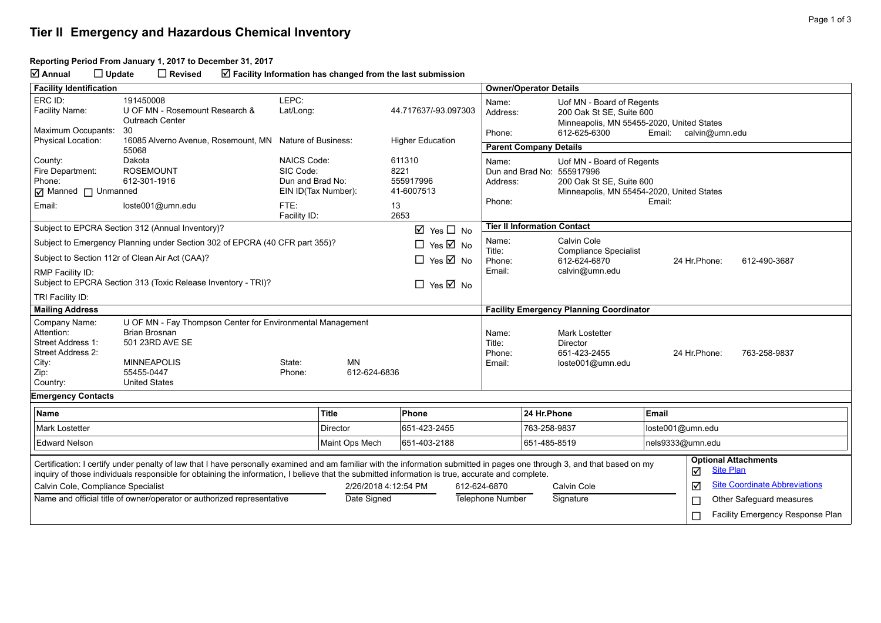#### **Tier II Emergency and Hazardous Chemical Inventory**

#### **Reporting Period From January 1, 2017 to December 31, 2017**

**Annual Update Revised Facility Information has changed from the last submission**

| <b>Facility Identification</b>                                                                                                                                                                                                                                                                                                |                                                                                                                                                                   |                                                                                                    |                           |                                                         |                                     | <b>Owner/Operator Details</b> |                                                                                                                                  |                              |                                                 |  |
|-------------------------------------------------------------------------------------------------------------------------------------------------------------------------------------------------------------------------------------------------------------------------------------------------------------------------------|-------------------------------------------------------------------------------------------------------------------------------------------------------------------|----------------------------------------------------------------------------------------------------|---------------------------|---------------------------------------------------------|-------------------------------------|-------------------------------|----------------------------------------------------------------------------------------------------------------------------------|------------------------------|-------------------------------------------------|--|
| ERC ID:<br>Facility Name:                                                                                                                                                                                                                                                                                                     | 191450008<br>U OF MN - Rosemount Research &<br><b>Outreach Center</b>                                                                                             | LEPC:<br>Lat/Long:                                                                                 |                           | 44.717637/-93.097303                                    | Name:<br>Address:                   |                               | Uof MN - Board of Regents<br>200 Oak St SE, Suite 600<br>Minneapolis, MN 55455-2020, United States                               |                              |                                                 |  |
| Maximum Occupants:                                                                                                                                                                                                                                                                                                            | 30<br>16085 Alverno Avenue, Rosemount, MN Nature of Business:                                                                                                     |                                                                                                    |                           |                                                         | Phone:                              |                               | 612-625-6300                                                                                                                     | Email:                       | calvin@umn.edu                                  |  |
| Physical Location:                                                                                                                                                                                                                                                                                                            | 55068                                                                                                                                                             |                                                                                                    |                           | <b>Higher Education</b>                                 |                                     | <b>Parent Company Details</b> |                                                                                                                                  |                              |                                                 |  |
| County:<br>Fire Department:<br>Phone:<br>Manned I Unmanned<br>Email:                                                                                                                                                                                                                                                          | Dakota<br><b>ROSEMOUNT</b><br>612-301-1916<br>loste001@umn.edu                                                                                                    | <b>NAICS Code:</b><br>SIC Code:<br>Dun and Brad No:<br>EIN ID(Tax Number):<br>FTE:<br>Facility ID: |                           | 611310<br>8221<br>555917996<br>41-6007513<br>13<br>2653 | Name:<br>Address:<br>Phone:         |                               | Uof MN - Board of Regents<br>Dun and Brad No: 555917996<br>200 Oak St SE, Suite 600<br>Minneapolis, MN 55454-2020, United States | Email:                       |                                                 |  |
| Subject to EPCRA Section 312 (Annual Inventory)?<br>$\boxtimes$ Yes $\square$ No                                                                                                                                                                                                                                              |                                                                                                                                                                   |                                                                                                    |                           |                                                         | <b>Tier II Information Contact</b>  |                               |                                                                                                                                  |                              |                                                 |  |
|                                                                                                                                                                                                                                                                                                                               | Subject to Emergency Planning under Section 302 of EPCRA (40 CFR part 355)?                                                                                       |                                                                                                    |                           | $\Box$ Yes $\overline{\boxtimes}$ No                    | Name:                               |                               | Calvin Cole                                                                                                                      |                              |                                                 |  |
| Subject to Section 112r of Clean Air Act (CAA)?                                                                                                                                                                                                                                                                               |                                                                                                                                                                   |                                                                                                    |                           | $\Box$ Yes $\boxtimes$ No                               | Title:<br>Phone:                    |                               | <b>Compliance Specialist</b><br>612-624-6870                                                                                     | 24 Hr.Phone:<br>612-490-3687 |                                                 |  |
| RMP Facility ID:<br>Subject to EPCRA Section 313 (Toxic Release Inventory - TRI)?<br>$\Box$ Yes $\boxtimes$ No                                                                                                                                                                                                                |                                                                                                                                                                   |                                                                                                    |                           |                                                         | Email:<br>calvin@umn.edu            |                               |                                                                                                                                  |                              |                                                 |  |
| TRI Facility ID:                                                                                                                                                                                                                                                                                                              |                                                                                                                                                                   |                                                                                                    |                           |                                                         |                                     |                               |                                                                                                                                  |                              |                                                 |  |
| <b>Mailing Address</b>                                                                                                                                                                                                                                                                                                        |                                                                                                                                                                   |                                                                                                    |                           |                                                         |                                     |                               | <b>Facility Emergency Planning Coordinator</b>                                                                                   |                              |                                                 |  |
| Company Name:<br>Attention:<br>Street Address 1:<br>Street Address 2:<br>City:<br>Zip:<br>Country:                                                                                                                                                                                                                            | U OF MN - Fay Thompson Center for Environmental Management<br><b>Brian Brosnan</b><br>501 23RD AVE SE<br><b>MINNEAPOLIS</b><br>55455-0447<br><b>United States</b> | State:<br>Phone:                                                                                   | <b>MN</b><br>612-624-6836 |                                                         | Name:<br>Title:<br>Phone:<br>Email: |                               | <b>Mark Lostetter</b><br>Director<br>651-423-2455<br>loste001@umn.edu                                                            | 24 Hr. Phone:                | 763-258-9837                                    |  |
| <b>Emergency Contacts</b>                                                                                                                                                                                                                                                                                                     |                                                                                                                                                                   |                                                                                                    |                           |                                                         |                                     |                               |                                                                                                                                  |                              |                                                 |  |
| Name                                                                                                                                                                                                                                                                                                                          |                                                                                                                                                                   | <b>Title</b>                                                                                       |                           | Phone                                                   |                                     | 24 Hr.Phone                   |                                                                                                                                  | Email                        |                                                 |  |
| <b>Mark Lostetter</b>                                                                                                                                                                                                                                                                                                         |                                                                                                                                                                   | <b>Director</b>                                                                                    |                           | 651-423-2455                                            |                                     | 763-258-9837                  |                                                                                                                                  | loste001@umn.edu             |                                                 |  |
| <b>Edward Nelson</b>                                                                                                                                                                                                                                                                                                          |                                                                                                                                                                   |                                                                                                    | Maint Ops Mech            | 651-403-2188                                            |                                     | 651-485-8519                  |                                                                                                                                  | nels9333@umn.edu             |                                                 |  |
| Certification: I certify under penalty of law that I have personally examined and am familiar with the information submitted in pages one through 3, and that based on my<br>inquiry of those individuals responsible for obtaining the information, I believe that the submitted information is true, accurate and complete. |                                                                                                                                                                   |                                                                                                    |                           |                                                         |                                     |                               |                                                                                                                                  | ☑                            | <b>Optional Attachments</b><br><b>Site Plan</b> |  |
| Calvin Cole, Compliance Specialist                                                                                                                                                                                                                                                                                            |                                                                                                                                                                   |                                                                                                    | 2/26/2018 4:12:54 PM      |                                                         | 612-624-6870                        |                               | Calvin Cole                                                                                                                      | ☑                            | <b>Site Coordinate Abbreviations</b>            |  |
| Name and official title of owner/operator or authorized representative                                                                                                                                                                                                                                                        |                                                                                                                                                                   |                                                                                                    | Date Signed               |                                                         | Telephone Number                    |                               | Signature                                                                                                                        | $\Box$                       | Other Safeguard measures                        |  |
|                                                                                                                                                                                                                                                                                                                               |                                                                                                                                                                   |                                                                                                    |                           |                                                         |                                     |                               |                                                                                                                                  | $\Box$                       | Facility Emergency Response Plan                |  |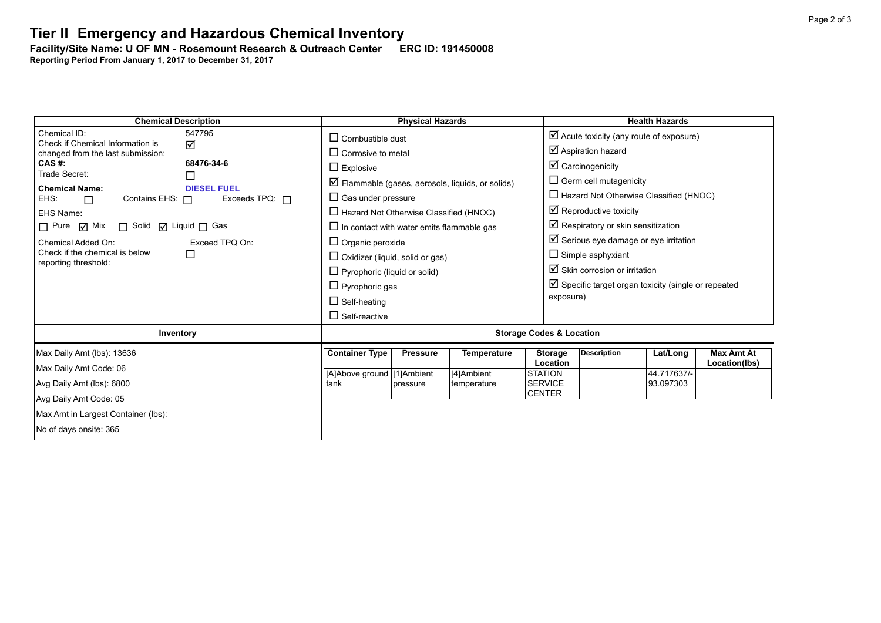# **Tier II Emergency and Hazardous Chemical Inventory**

**Facility/Site Name: U OF MN - Rosemount Research & Outreach Center-----ERC ID: 191450008 Reporting Period From January 1, 2017 to December 31, 2017**

| <b>Chemical Description</b>                                                                                  | <b>Physical Hazards</b>                          |                                        |                                                             |                                  | <b>Health Hazards</b>                                          |                          |                   |  |  |
|--------------------------------------------------------------------------------------------------------------|--------------------------------------------------|----------------------------------------|-------------------------------------------------------------|----------------------------------|----------------------------------------------------------------|--------------------------|-------------------|--|--|
| Chemical ID:<br>547795<br>Check if Chemical Information is                                                   | $\Box$ Combustible dust                          |                                        |                                                             |                                  | $\boxtimes$ Acute toxicity (any route of exposure)             |                          |                   |  |  |
| ☑<br>changed from the last submission:                                                                       | $\Box$ Corrosive to metal                        |                                        |                                                             |                                  | $\boxtimes$ Aspiration hazard                                  |                          |                   |  |  |
| 68476-34-6<br>CAS #:<br>Trade Secret:                                                                        | $\Box$ Explosive                                 |                                        |                                                             |                                  | $\boxtimes$ Carcinogenicity                                    |                          |                   |  |  |
| $\Box$                                                                                                       |                                                  |                                        | $\boxtimes$ Flammable (gases, aerosols, liquids, or solids) |                                  | $\Box$ Germ cell mutagenicity                                  |                          |                   |  |  |
| <b>Chemical Name:</b><br><b>DIESEL FUEL</b><br>Exceeds TPQ: $\Box$<br>EHS:<br>Contains EHS: $\Box$<br>$\Box$ | $\Box$ Gas under pressure                        |                                        |                                                             |                                  | $\Box$ Hazard Not Otherwise Classified (HNOC)                  |                          |                   |  |  |
| EHS Name:                                                                                                    | $\Box$ Hazard Not Otherwise Classified (HNOC)    |                                        |                                                             |                                  | $\boxtimes$ Reproductive toxicity                              |                          |                   |  |  |
| $\Box$ Pure $\Box$ Mix<br>□ Solid □ Liquid □ Gas                                                             | $\Box$ In contact with water emits flammable gas |                                        |                                                             |                                  | $\boxtimes$ Respiratory or skin sensitization                  |                          |                   |  |  |
| Chemical Added On:<br>Exceed TPQ On:                                                                         | $\Box$ Organic peroxide                          |                                        |                                                             |                                  | $\boxtimes$ Serious eye damage or eye irritation               |                          |                   |  |  |
| Check if the chemical is below<br>□                                                                          |                                                  | $\Box$ Oxidizer (liquid, solid or gas) |                                                             |                                  |                                                                | $\Box$ Simple asphyxiant |                   |  |  |
| reporting threshold:                                                                                         | $\Box$ Pyrophoric (liquid or solid)              |                                        |                                                             |                                  | $\boxtimes$ Skin corrosion or irritation                       |                          |                   |  |  |
|                                                                                                              | $\Box$ Pyrophoric gas                            |                                        |                                                             |                                  | $\boxtimes$ Specific target organ toxicity (single or repeated |                          |                   |  |  |
|                                                                                                              | $\Box$ Self-heating                              |                                        |                                                             |                                  | exposure)                                                      |                          |                   |  |  |
|                                                                                                              | $\Box$ Self-reactive                             |                                        |                                                             |                                  |                                                                |                          |                   |  |  |
| Inventory                                                                                                    | <b>Storage Codes &amp; Location</b>              |                                        |                                                             |                                  |                                                                |                          |                   |  |  |
| Max Daily Amt (lbs): 13636                                                                                   | <b>Container Type</b>                            | <b>Pressure</b>                        | <b>Temperature</b>                                          | <b>Storage</b>                   | <b>Description</b>                                             | Lat/Long                 | <b>Max Amt At</b> |  |  |
| Max Daily Amt Code: 06                                                                                       |                                                  |                                        |                                                             | Location                         |                                                                | 44.717637/-              | Location(lbs)     |  |  |
| Avg Daily Amt (lbs): 6800                                                                                    | [A]Above ground [1]Ambient<br>tank               | pressure                               | [4]Ambient<br>temperature                                   | <b>STATION</b><br><b>SERVICE</b> |                                                                | 93.097303                |                   |  |  |
| Avg Daily Amt Code: 05                                                                                       |                                                  |                                        |                                                             | <b>CENTER</b>                    |                                                                |                          |                   |  |  |
| Max Amt in Largest Container (lbs):                                                                          |                                                  |                                        |                                                             |                                  |                                                                |                          |                   |  |  |
| No of days onsite: 365                                                                                       |                                                  |                                        |                                                             |                                  |                                                                |                          |                   |  |  |